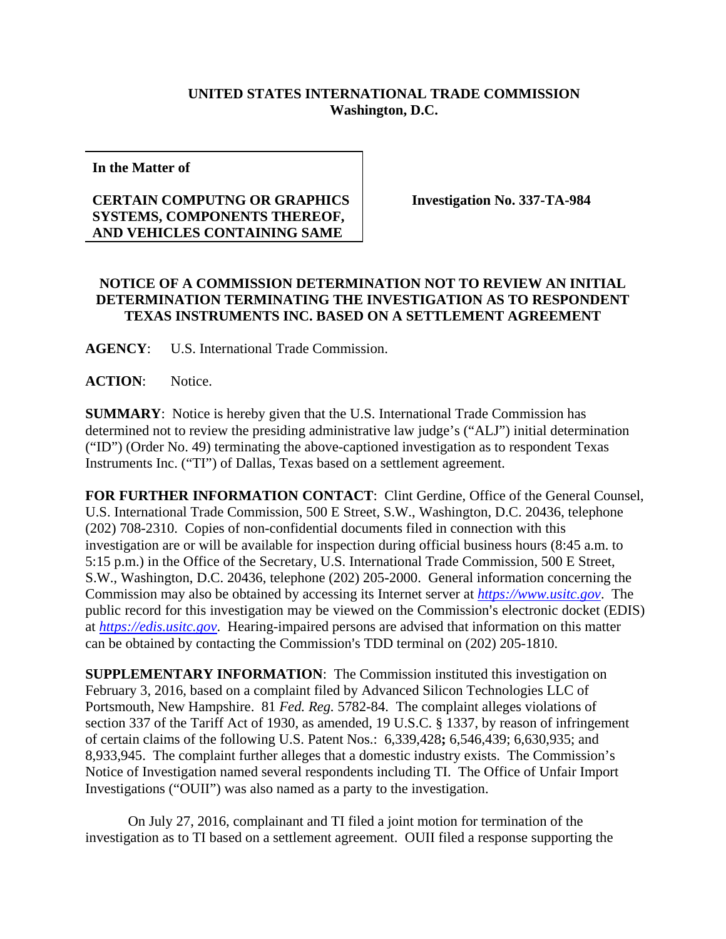## **UNITED STATES INTERNATIONAL TRADE COMMISSION Washington, D.C.**

**In the Matter of** 

## **CERTAIN COMPUTNG OR GRAPHICS SYSTEMS, COMPONENTS THEREOF, AND VEHICLES CONTAINING SAME**

**Investigation No. 337-TA-984** 

## **NOTICE OF A COMMISSION DETERMINATION NOT TO REVIEW AN INITIAL DETERMINATION TERMINATING THE INVESTIGATION AS TO RESPONDENT TEXAS INSTRUMENTS INC. BASED ON A SETTLEMENT AGREEMENT**

**AGENCY**: U.S. International Trade Commission.

**ACTION**: Notice.

**SUMMARY**: Notice is hereby given that the U.S. International Trade Commission has determined not to review the presiding administrative law judge's ("ALJ") initial determination ("ID") (Order No. 49) terminating the above-captioned investigation as to respondent Texas Instruments Inc. ("TI") of Dallas, Texas based on a settlement agreement.

**FOR FURTHER INFORMATION CONTACT**: Clint Gerdine, Office of the General Counsel, U.S. International Trade Commission, 500 E Street, S.W., Washington, D.C. 20436, telephone (202) 708-2310. Copies of non-confidential documents filed in connection with this investigation are or will be available for inspection during official business hours (8:45 a.m. to 5:15 p.m.) in the Office of the Secretary, U.S. International Trade Commission, 500 E Street, S.W., Washington, D.C. 20436, telephone (202) 205-2000. General information concerning the Commission may also be obtained by accessing its Internet server at *https://www.usitc.gov*. The public record for this investigation may be viewed on the Commission's electronic docket (EDIS) at *https://edis.usitc.gov*. Hearing-impaired persons are advised that information on this matter can be obtained by contacting the Commission's TDD terminal on  $(202)$  205-1810.

**SUPPLEMENTARY INFORMATION**: The Commission instituted this investigation on February 3, 2016, based on a complaint filed by Advanced Silicon Technologies LLC of Portsmouth, New Hampshire. 81 *Fed. Reg.* 5782-84. The complaint alleges violations of section 337 of the Tariff Act of 1930, as amended, 19 U.S.C. § 1337, by reason of infringement of certain claims of the following U.S. Patent Nos.: 6,339,428**;** 6,546,439; 6,630,935; and 8,933,945. The complaint further alleges that a domestic industry exists. The Commission's Notice of Investigation named several respondents including TI. The Office of Unfair Import Investigations ("OUII") was also named as a party to the investigation.

On July 27, 2016, complainant and TI filed a joint motion for termination of the investigation as to TI based on a settlement agreement. OUII filed a response supporting the